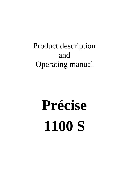# Product description and **Operating manual**

# Précise **1100 S**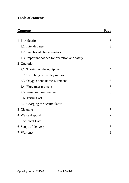# **Table of contents**

|   | <b>Contents</b>                                | <b>Page</b> |  |
|---|------------------------------------------------|-------------|--|
|   |                                                |             |  |
| 1 | Introduction                                   | 3           |  |
|   | 1.1 Intended use                               | 3           |  |
|   | 1.2 Functional characteristics                 | 3           |  |
|   | 1.3 Important notices for operation and safety | 3           |  |
|   | 2 Operation                                    | 4           |  |
|   | 2.1 Turning on the equipment                   | 4           |  |
|   | 2.2 Switching of display modes                 | 5           |  |
|   | 2.3 Oxygen content measurement                 | 5           |  |
|   | 2.4 Flow measurement                           | 6           |  |
|   | 2.5 Pressure measurement                       | 6           |  |
|   | 2.6 Turning off                                | 6           |  |
|   | 2.7 Charging the accumulator                   | 7           |  |
|   | 3 Cleaning                                     | 7           |  |
|   | 4 Waste disposal                               |             |  |
|   | 5 Technical Data:                              |             |  |
|   | 6 Scope of delivery                            |             |  |
|   | 7 Warranty                                     |             |  |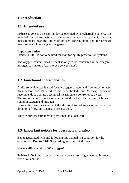#### **1 Introduction**

#### **1.1 Intended use**

**Précise 1100 S** is a measuring device operated by a rechargable battery. It is intended for determination of the oxygen content in percent, for flow measurements near the outlet of oxygen concentrators and for pressure measurement of non-aggressive gases.

#### **Important notice !**

**Précise 1100 S** is not to be used for monitoring life preservation systems.

The oxygen content measurement is only to be conducted in an oxygen – nitrogen-gas mixture (e.g. oxygen concentrator).

#### **1.2 Functional characteristics**

A ultrasonic detector is used for the oxygen content and flow measurement. This sensor doesn't need to be recalibrated, but Medicap homecare recommends to operate a technical measurement control once a year.

The oxygen content measurement is based on the different transit times of sound in oxygen and nitrogen.

During the flow measurement the different transit times of sound in the direction of flow and against it are analysed.

The pressure measurement is performed by a load cell.

#### **1.3 Important notices for operation and safety**

Being acquainted with and following this manual is a condition for the operation of **Précise 1100 S** according to its intended usage.

#### **Not to calibrate with 100% oxygen!**

**Précise 1100 S** and all accessories with contact to oxygen need to be kept free of oil and fat.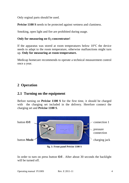Only orginal parts should be used.

**Précise 1100 S** needs to be protected against wetness and claminess.

Smoking, open light and fire are prohibited during usage.

#### **Only for measuring on O2-concentrator!**

If the apparatus was stored at room temperatures below  $10^{\circ}$ C the device needs to adapt to the room temperature, otherwise malfunctions might turn up. **Only for measuring at room temperature.** 

Medicap homecare recommends to operate a technical measurement control once a year.

# **2 Operation**

#### **2.1 Turning on the equipment**

Before turning on **Précise 1100 S** for the first time, it should be charged with the charging set included in the delivery. Herefore connect the charging set and **Précise 1100 S**.



**fig. 1: Front panel Précise 1100 S** 

In order to turn on press button **O/I** . After about 30 seconds the backlight will be turned off.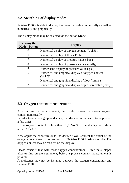# **2.2 Switching of display modes**

**Précise 1100 S** is able to display the measured value numerically as well as numerically and graphically.

| <b>Pressing the</b><br>Mode - button | <b>Display</b>                                                |
|--------------------------------------|---------------------------------------------------------------|
| $\theta$                             | Numerical display of oxygen content (Vol.%)                   |
|                                      | Numerical display of flow $(1/\text{min})$                    |
| $\mathfrak{D}$                       | Numerical display of pressure value (bar)                     |
| 3                                    | Numerical display of pressure value (mmHg)                    |
| 4                                    | Numerische display of pressure value (psi)                    |
| 5                                    | Numerical and graphical display of oxygen content<br>(Vol. %) |
| 6                                    | Numerical and graphical display of flow $(1/min)$             |
| 7                                    | Numerical and graphical display of pressure value (bar)       |

The display mode may be selected via the button **Mode**.

#### **2.3 Oxygen content measurement**

After turning on the instrument, the display shows the current oxygen content numerically.

In order to receive a graphic display, the Mode – button needs to be pressed a few times.

If the oxygen content is less than 70,0 Vol.% , the display will show  $, --, -$  Vol.% ".

Now adjust the concentrator to the desired flow. Connect the outlet of the oxygen concentrator to connection 1 of **Précise 1100 S** using the tube. The oxygen content may be read off on the display.

Please consider that with most oxygen concentrators 10 min must elapse after turning on the equipment, before a precise content measurement is possible.

A moistener may not be installed between the oxygen concentrator and **Précise 1100 S**.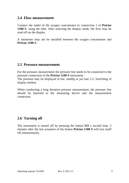#### **2.4 Flow measurement**

Connect the outlet of the oxygen concentrator to connection 1 of **Précise 1100 S** using the tube. After selecting the display mode, the flow may be read off on the display.

A moistener may not be installed between the oxygen concentrator and **Précise 1100 S**.

#### **2.5 Pressure measurement**

For the pressure measurement the pressure line needs to be connected to the pressure connection of the **Précise 1100 S** instrument.

The pressure may be displayed in bar, mmHg or psi (see 2.2. Switching of display modes).

When conducting a long duration pressure measurement, the pressure line should be fastened to the measuring device and the measurement connexion.

#### **2.6 Turning off**

The instrument is turned off by pressing the button **I/O** a second time. 5 minutes after the last actuation of the button **Précise 1100 S** will turn itself off autonomously.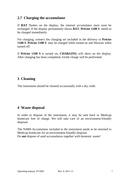#### **2.7 Charging the accumulator**

If **BAT** flashes on the display, the internal accumulator must soon be recharged. If the display permanently shows **BAT**, **Précise 1100 S** needs to be charged immediately.

For charging, connect the charging set included in the delivery to **Précise 1100 S**. **Précise 1100 S** may be charged while turned on and likewise when turned off.

If **Précise 1100 S** is turned on, **CHARGING** will show on the display. After charging has been completed, trickle charge will be performed.

# **3 Cleaning**

The instrument should be cleaned occasionally with a dry cloth.

# **4 Waste disposal**

In order to dispose of the instrument, it may be sent back to Medicap homecare free of charge. We will take care of an environment-friendly disposal.

The NiMH-Accumulator included in the instrument needs to be returned to Medicap homecare for an environment-friendly disposal. Do **not** dispose of used accumulators together with domestic waste!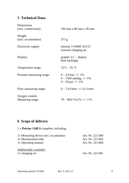# **5 Technical Data:**

| Dimensions<br>(incl. connections): | 190 mm x 80 mm x 30 mm                                                              |
|------------------------------------|-------------------------------------------------------------------------------------|
| Weight                             |                                                                                     |
| (incl. accumulator):               | 375 g                                                                               |
| Electricity supply:                | internal 3 NiMH ACCU<br>external charging set                                       |
| Display:                           | graphic $LC -$ display<br>blue backlight                                            |
| Temperature range:                 | $15^{\circ}$ C - 35 $^{\circ}$ C                                                    |
| Pressure measuring range:          | $0 - 2.0$ bar; $\pm/- 1\%$<br>$0 - 1500$ mmHg; $+/- 1\%$<br>$0 - 29$ psi: $+/- 1\%$ |
| Flow measuring range:              | $0 - 7.0$ l/min; $+/- 0.3$ l/min                                                    |
| Oxygen content<br>Measuring range: | $70 - 98.0$ Vol.%; +/- 2 %                                                          |

# **6 Scope of delivery**

1 x **Précise 1100 S** complete, including:

| 1x Measuring device incl. accumulator | Art.-Nr. 221.000 |
|---------------------------------------|------------------|
| 1x Measurement tube                   | Art.-Nr. 221.003 |
| 1x Operating manual                   | Art.-Nr. 221.004 |
| Additionally available:               |                  |
| 1x charging set                       | Art.-Nr. 221.001 |